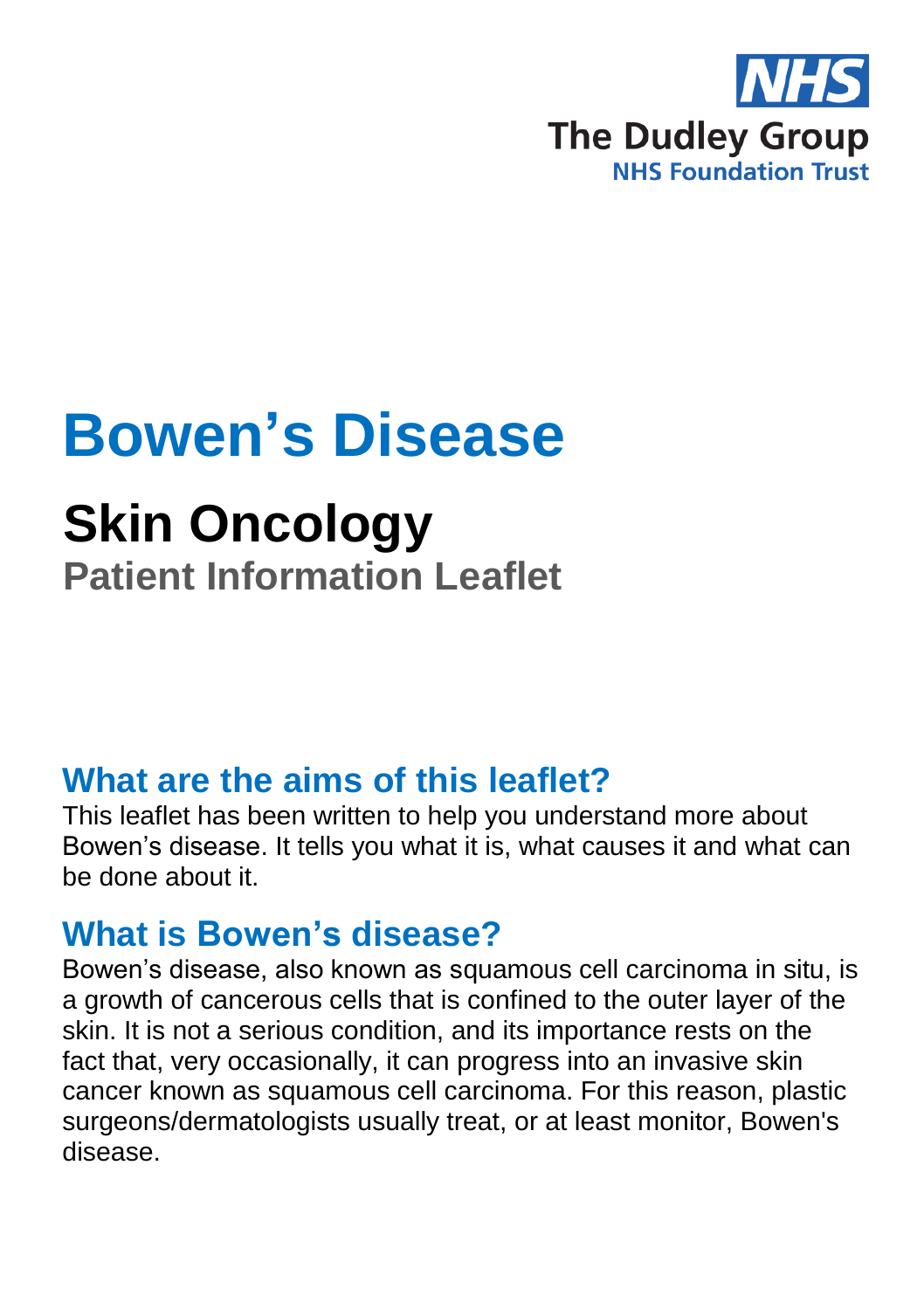

# **Bowen's Disease**

# **Skin Oncology Patient Information Leaflet**

#### **What are the aims of this leaflet?**

This leaflet has been written to help you understand more about Bowen's disease. It tells you what it is, what causes it and what can be done about it.

#### **What is Bowen's disease?**

Bowen's disease, also known as squamous cell carcinoma in situ, is a growth of cancerous cells that is confined to the outer layer of the skin. It is not a serious condition, and its importance rests on the fact that, very occasionally, it can progress into an invasive skin cancer known as squamous cell carcinoma. For this reason, plastic surgeons/dermatologists usually treat, or at least monitor, Bowen's disease.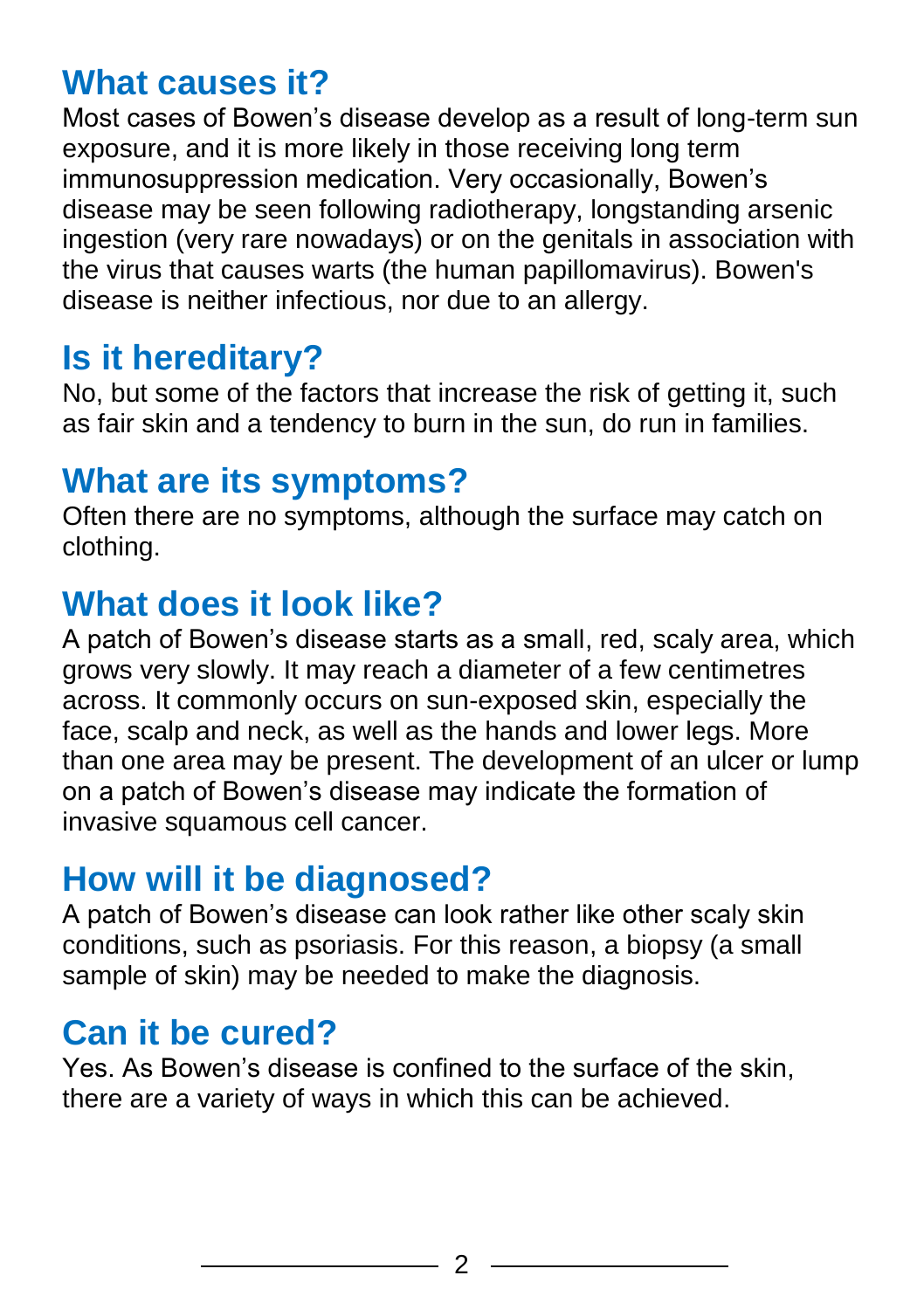#### **What causes it?**

Most cases of Bowen's disease develop as a result of long-term sun exposure, and it is more likely in those receiving long term immunosuppression medication. Very occasionally, Bowen's disease may be seen following radiotherapy, longstanding arsenic ingestion (very rare nowadays) or on the genitals in association with the virus that causes warts (the human papillomavirus). Bowen's disease is neither infectious, nor due to an allergy.

## **Is it hereditary?**

No, but some of the factors that increase the risk of getting it, such as fair skin and a tendency to burn in the sun, do run in families.

## **What are its symptoms?**

Often there are no symptoms, although the surface may catch on clothing.

## **What does it look like?**

A patch of Bowen's disease starts as a small, red, scaly area, which grows very slowly. It may reach a diameter of a few centimetres across. It commonly occurs on sun-exposed skin, especially the face, scalp and neck, as well as the hands and lower legs. More than one area may be present. The development of an ulcer or lump on a patch of Bowen's disease may indicate the formation of invasive squamous cell cancer.

#### **How will it be diagnosed?**

A patch of Bowen's disease can look rather like other scaly skin conditions, such as psoriasis. For this reason, a biopsy (a small sample of skin) may be needed to make the diagnosis.

## **Can it be cured?**

Yes. As Bowen's disease is confined to the surface of the skin, there are a variety of ways in which this can be achieved.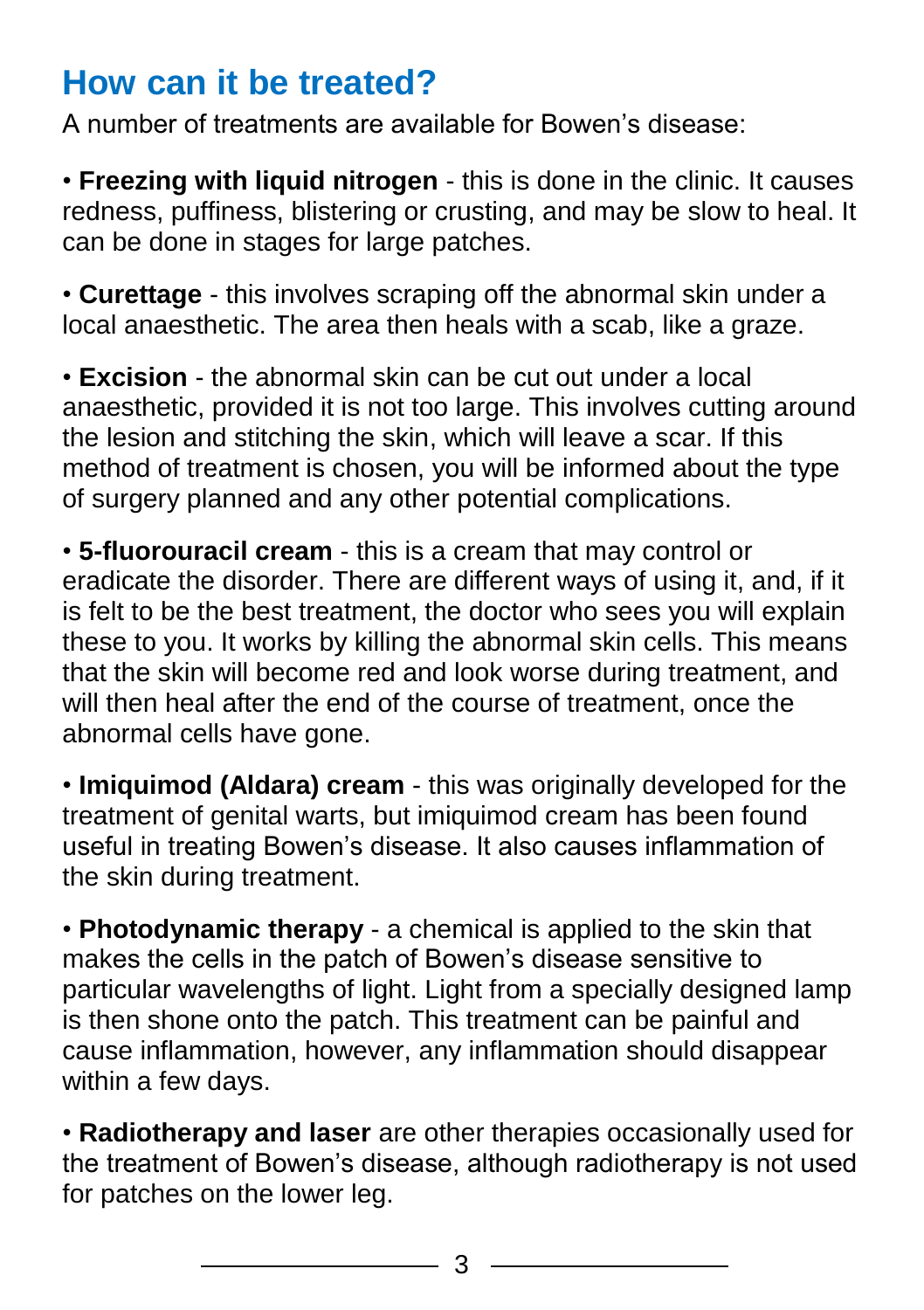## **How can it be treated?**

A number of treatments are available for Bowen's disease:

• **Freezing with liquid nitrogen** - this is done in the clinic. It causes redness, puffiness, blistering or crusting, and may be slow to heal. It can be done in stages for large patches.

• **Curettage** - this involves scraping off the abnormal skin under a local anaesthetic. The area then heals with a scab, like a graze.

• **Excision** - the abnormal skin can be cut out under a local anaesthetic, provided it is not too large. This involves cutting around the lesion and stitching the skin, which will leave a scar. If this method of treatment is chosen, you will be informed about the type of surgery planned and any other potential complications.

• **5-fluorouracil cream** - this is a cream that may control or eradicate the disorder. There are different ways of using it, and, if it is felt to be the best treatment, the doctor who sees you will explain these to you. It works by killing the abnormal skin cells. This means that the skin will become red and look worse during treatment, and will then heal after the end of the course of treatment, once the abnormal cells have gone.

• **Imiquimod (Aldara) cream** - this was originally developed for the treatment of genital warts, but imiquimod cream has been found useful in treating Bowen's disease. It also causes inflammation of the skin during treatment.

• **Photodynamic therapy** - a chemical is applied to the skin that makes the cells in the patch of Bowen's disease sensitive to particular wavelengths of light. Light from a specially designed lamp is then shone onto the patch. This treatment can be painful and cause inflammation, however, any inflammation should disappear within a few days.

• **Radiotherapy and laser** are other therapies occasionally used for the treatment of Bowen's disease, although radiotherapy is not used for patches on the lower leg.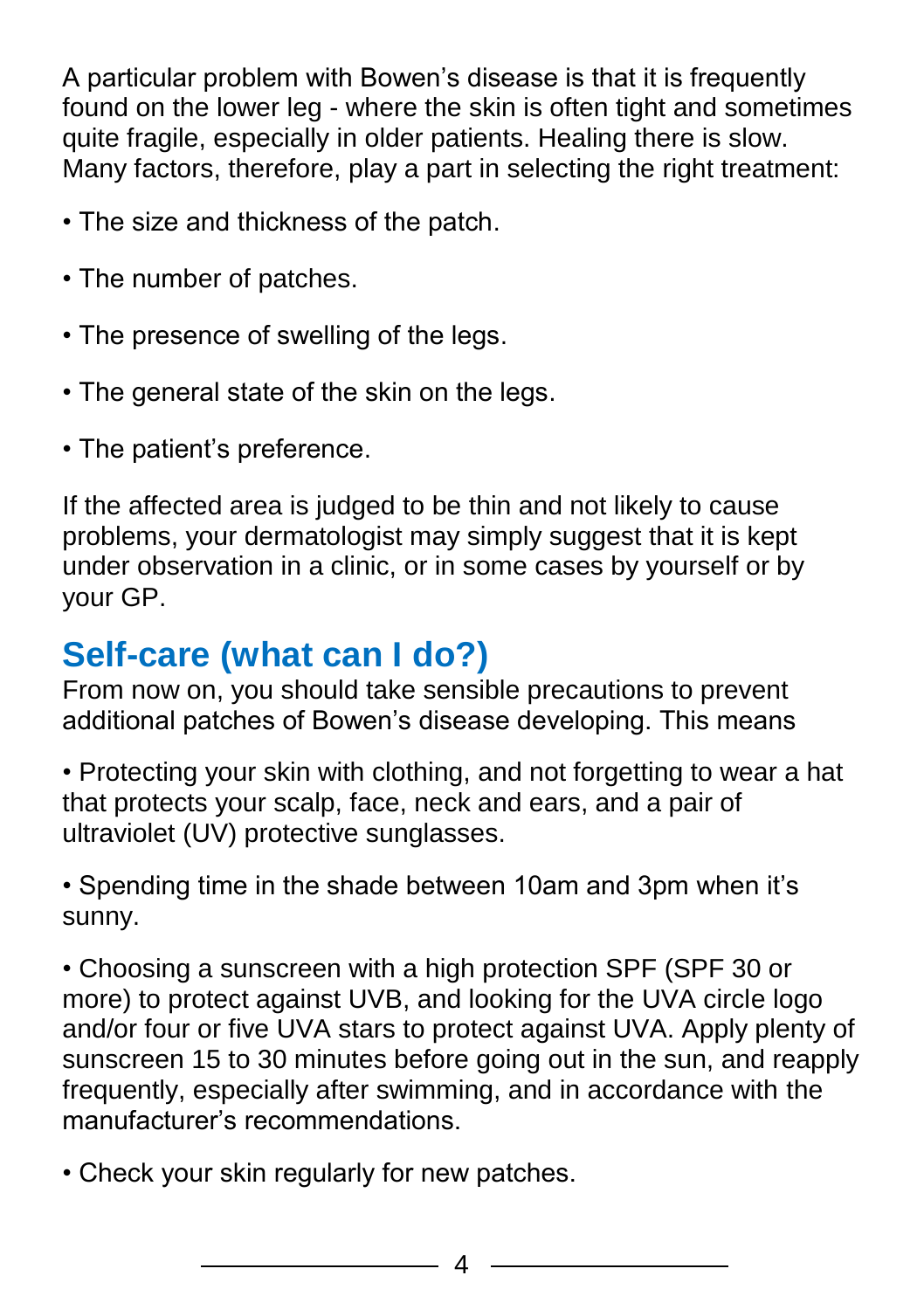A particular problem with Bowen's disease is that it is frequently found on the lower leg - where the skin is often tight and sometimes quite fragile, especially in older patients. Healing there is slow. Many factors, therefore, play a part in selecting the right treatment:

- The size and thickness of the patch.
- The number of patches.
- The presence of swelling of the legs.
- The general state of the skin on the legs.
- The patient's preference.

If the affected area is judged to be thin and not likely to cause problems, your dermatologist may simply suggest that it is kept under observation in a clinic, or in some cases by yourself or by your GP.

## **Self-care (what can I do?)**

From now on, you should take sensible precautions to prevent additional patches of Bowen's disease developing. This means

• Protecting your skin with clothing, and not forgetting to wear a hat that protects your scalp, face, neck and ears, and a pair of ultraviolet (UV) protective sunglasses.

• Spending time in the shade between 10am and 3pm when it's sunny.

• Choosing a sunscreen with a high protection SPF (SPF 30 or more) to protect against UVB, and looking for the UVA circle logo and/or four or five UVA stars to protect against UVA. Apply plenty of sunscreen 15 to 30 minutes before going out in the sun, and reapply frequently, especially after swimming, and in accordance with the manufacturer's recommendations.

• Check your skin regularly for new patches.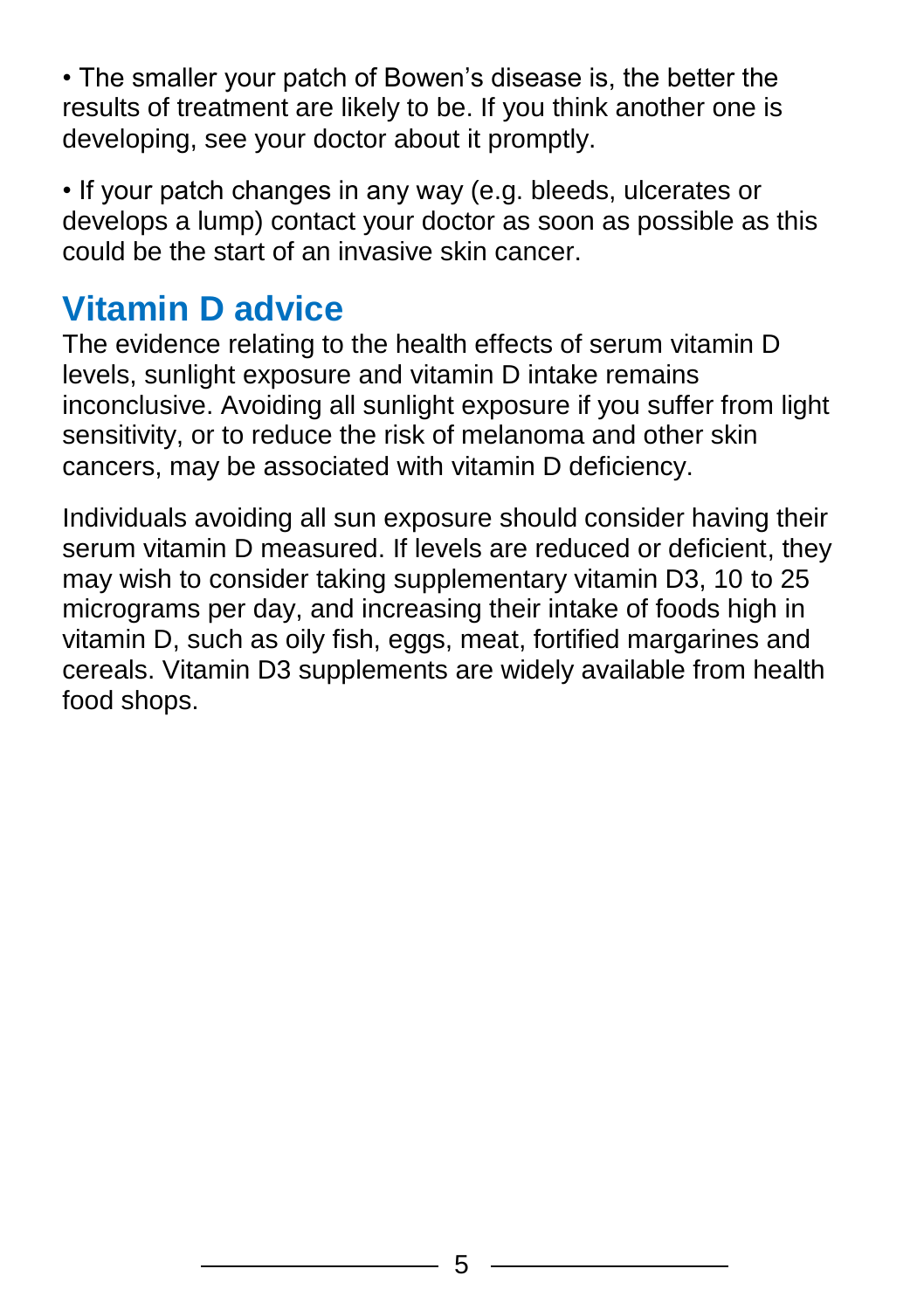• The smaller your patch of Bowen's disease is, the better the results of treatment are likely to be. If you think another one is developing, see your doctor about it promptly.

• If your patch changes in any way (e.g. bleeds, ulcerates or develops a lump) contact your doctor as soon as possible as this could be the start of an invasive skin cancer.

## **Vitamin D advice**

The evidence relating to the health effects of serum vitamin D levels, sunlight exposure and vitamin D intake remains inconclusive. Avoiding all sunlight exposure if you suffer from light sensitivity, or to reduce the risk of melanoma and other skin cancers, may be associated with vitamin D deficiency.

Individuals avoiding all sun exposure should consider having their serum vitamin D measured. If levels are reduced or deficient, they may wish to consider taking supplementary vitamin D3, 10 to 25 micrograms per day, and increasing their intake of foods high in vitamin D, such as oily fish, eggs, meat, fortified margarines and cereals. Vitamin D3 supplements are widely available from health food shops.